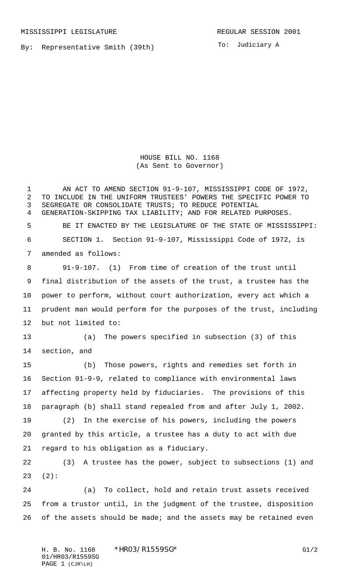MISSISSIPPI LEGISLATURE **REGULAR SESSION 2001** 

By: Representative Smith (39th)

To: Judiciary A

HOUSE BILL NO. 1168 (As Sent to Governor)

1 AN ACT TO AMEND SECTION 91-9-107, MISSISSIPPI CODE OF 1972, TO INCLUDE IN THE UNIFORM TRUSTEES' POWERS THE SPECIFIC POWER TO SEGREGATE OR CONSOLIDATE TRUSTS; TO REDUCE POTENTIAL GENERATION-SKIPPING TAX LIABILITY; AND FOR RELATED PURPOSES. BE IT ENACTED BY THE LEGISLATURE OF THE STATE OF MISSISSIPPI: SECTION 1. Section 91-9-107, Mississippi Code of 1972, is amended as follows: 91-9-107. (1) From time of creation of the trust until final distribution of the assets of the trust, a trustee has the power to perform, without court authorization, every act which a prudent man would perform for the purposes of the trust, including but not limited to: (a) The powers specified in subsection (3) of this section, and (b) Those powers, rights and remedies set forth in Section 91-9-9, related to compliance with environmental laws affecting property held by fiduciaries. The provisions of this paragraph (b) shall stand repealed from and after July 1, 2002. (2) In the exercise of his powers, including the powers granted by this article, a trustee has a duty to act with due regard to his obligation as a fiduciary. (3) A trustee has the power, subject to subsections (1) and (2): (a) To collect, hold and retain trust assets received from a trustor until, in the judgment of the trustee, disposition

26 of the assets should be made; and the assets may be retained even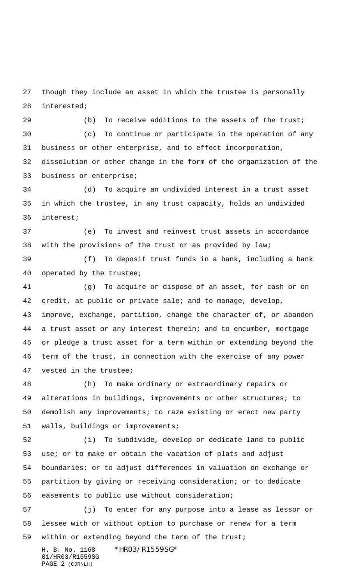though they include an asset in which the trustee is personally interested;

29 (b) To receive additions to the assets of the trust;

 (c) To continue or participate in the operation of any business or other enterprise, and to effect incorporation, dissolution or other change in the form of the organization of the business or enterprise;

 (d) To acquire an undivided interest in a trust asset in which the trustee, in any trust capacity, holds an undivided interest;

 (e) To invest and reinvest trust assets in accordance with the provisions of the trust or as provided by law;

 (f) To deposit trust funds in a bank, including a bank operated by the trustee;

 (g) To acquire or dispose of an asset, for cash or on credit, at public or private sale; and to manage, develop, improve, exchange, partition, change the character of, or abandon a trust asset or any interest therein; and to encumber, mortgage or pledge a trust asset for a term within or extending beyond the term of the trust, in connection with the exercise of any power vested in the trustee;

 (h) To make ordinary or extraordinary repairs or alterations in buildings, improvements or other structures; to demolish any improvements; to raze existing or erect new party walls, buildings or improvements;

 (i) To subdivide, develop or dedicate land to public use; or to make or obtain the vacation of plats and adjust boundaries; or to adjust differences in valuation on exchange or partition by giving or receiving consideration; or to dedicate easements to public use without consideration;

 (j) To enter for any purpose into a lease as lessor or lessee with or without option to purchase or renew for a term within or extending beyond the term of the trust;

H. B. No. 1168 \*HR03/R1559SG\* 01/HR03/R1559SG PAGE 2 (CJR\LH)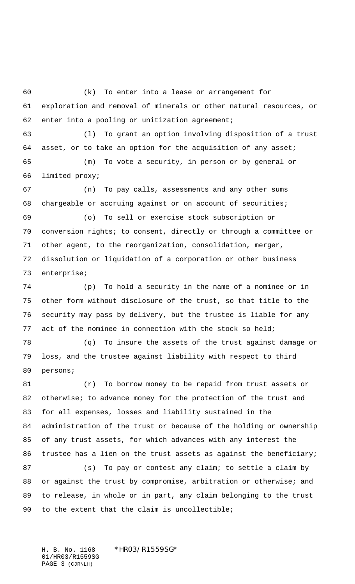(k) To enter into a lease or arrangement for exploration and removal of minerals or other natural resources, or enter into a pooling or unitization agreement;

 (l) To grant an option involving disposition of a trust asset, or to take an option for the acquisition of any asset; (m) To vote a security, in person or by general or

limited proxy;

 (n) To pay calls, assessments and any other sums chargeable or accruing against or on account of securities;

 (o) To sell or exercise stock subscription or conversion rights; to consent, directly or through a committee or other agent, to the reorganization, consolidation, merger, dissolution or liquidation of a corporation or other business enterprise;

 (p) To hold a security in the name of a nominee or in other form without disclosure of the trust, so that title to the security may pass by delivery, but the trustee is liable for any act of the nominee in connection with the stock so held;

 (q) To insure the assets of the trust against damage or loss, and the trustee against liability with respect to third persons;

 (r) To borrow money to be repaid from trust assets or 82 otherwise; to advance money for the protection of the trust and for all expenses, losses and liability sustained in the administration of the trust or because of the holding or ownership of any trust assets, for which advances with any interest the trustee has a lien on the trust assets as against the beneficiary;

87 (s) To pay or contest any claim; to settle a claim by 88 or against the trust by compromise, arbitration or otherwise; and to release, in whole or in part, any claim belonging to the trust 90 to the extent that the claim is uncollectible;

H. B. No. 1168 \*HR03/R1559SG\* 01/HR03/R1559SG PAGE 3 (CJR\LH)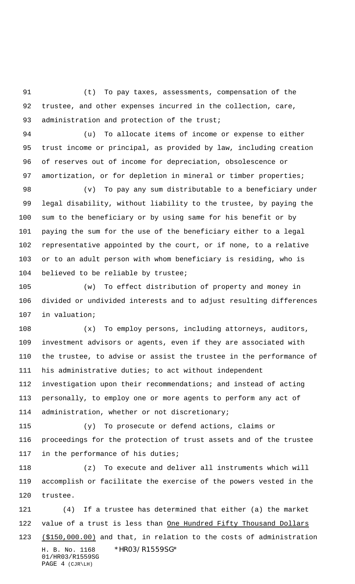(t) To pay taxes, assessments, compensation of the trustee, and other expenses incurred in the collection, care, 93 administration and protection of the trust;

 (u) To allocate items of income or expense to either trust income or principal, as provided by law, including creation of reserves out of income for depreciation, obsolescence or 97 amortization, or for depletion in mineral or timber properties;

 (v) To pay any sum distributable to a beneficiary under legal disability, without liability to the trustee, by paying the sum to the beneficiary or by using same for his benefit or by paying the sum for the use of the beneficiary either to a legal representative appointed by the court, or if none, to a relative or to an adult person with whom beneficiary is residing, who is believed to be reliable by trustee;

 (w) To effect distribution of property and money in divided or undivided interests and to adjust resulting differences in valuation;

 (x) To employ persons, including attorneys, auditors, investment advisors or agents, even if they are associated with the trustee, to advise or assist the trustee in the performance of his administrative duties; to act without independent investigation upon their recommendations; and instead of acting personally, to employ one or more agents to perform any act of administration, whether or not discretionary;

 (y) To prosecute or defend actions, claims or proceedings for the protection of trust assets and of the trustee in the performance of his duties;

 (z) To execute and deliver all instruments which will accomplish or facilitate the exercise of the powers vested in the trustee.

H. B. No. 1168 \*HR03/R1559SG\* 01/HR03/R1559SG PAGE 4 (CJR\LH) (4) If a trustee has determined that either (a) the market 122 value of a trust is less than One Hundred Fifty Thousand Dollars 123 (\$150,000.00) and that, in relation to the costs of administration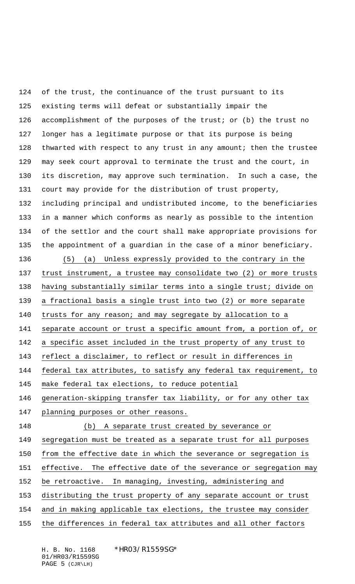of the trust, the continuance of the trust pursuant to its existing terms will defeat or substantially impair the 126 accomplishment of the purposes of the trust; or (b) the trust no longer has a legitimate purpose or that its purpose is being thwarted with respect to any trust in any amount; then the trustee may seek court approval to terminate the trust and the court, in its discretion, may approve such termination. In such a case, the court may provide for the distribution of trust property, including principal and undistributed income, to the beneficiaries in a manner which conforms as nearly as possible to the intention of the settlor and the court shall make appropriate provisions for the appointment of a guardian in the case of a minor beneficiary. (5) (a) Unless expressly provided to the contrary in the trust instrument, a trustee may consolidate two (2) or more trusts having substantially similar terms into a single trust; divide on a fractional basis a single trust into two (2) or more separate trusts for any reason; and may segregate by allocation to a 141 separate account or trust a specific amount from, a portion of, or a specific asset included in the trust property of any trust to reflect a disclaimer, to reflect or result in differences in federal tax attributes, to satisfy any federal tax requirement, to make federal tax elections, to reduce potential generation-skipping transfer tax liability, or for any other tax planning purposes or other reasons. (b) A separate trust created by severance or segregation must be treated as a separate trust for all purposes from the effective date in which the severance or segregation is effective. The effective date of the severance or segregation may be retroactive. In managing, investing, administering and distributing the trust property of any separate account or trust and in making applicable tax elections, the trustee may consider the differences in federal tax attributes and all other factors

H. B. No. 1168 \*HR03/R1559SG\* 01/HR03/R1559SG PAGE 5 (CJR\LH)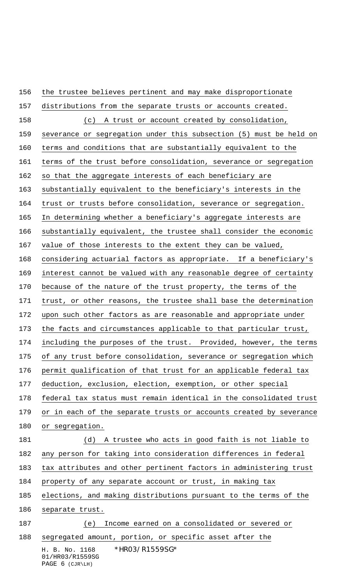H. B. No. 1168 \*HR03/R1559SG\* 01/HR03/R1559SG the trustee believes pertinent and may make disproportionate distributions from the separate trusts or accounts created. (c) A trust or account created by consolidation, severance or segregation under this subsection (5) must be held on terms and conditions that are substantially equivalent to the terms of the trust before consolidation, severance or segregation so that the aggregate interests of each beneficiary are substantially equivalent to the beneficiary's interests in the trust or trusts before consolidation, severance or segregation. In determining whether a beneficiary's aggregate interests are substantially equivalent, the trustee shall consider the economic value of those interests to the extent they can be valued, considering actuarial factors as appropriate. If a beneficiary's interest cannot be valued with any reasonable degree of certainty because of the nature of the trust property, the terms of the trust, or other reasons, the trustee shall base the determination 172 upon such other factors as are reasonable and appropriate under the facts and circumstances applicable to that particular trust, including the purposes of the trust. Provided, however, the terms of any trust before consolidation, severance or segregation which permit qualification of that trust for an applicable federal tax deduction, exclusion, election, exemption, or other special federal tax status must remain identical in the consolidated trust or in each of the separate trusts or accounts created by severance 180 or segregation. (d) A trustee who acts in good faith is not liable to any person for taking into consideration differences in federal tax attributes and other pertinent factors in administering trust property of any separate account or trust, in making tax elections, and making distributions pursuant to the terms of the separate trust. (e) Income earned on a consolidated or severed or segregated amount, portion, or specific asset after the

PAGE 6 (CJR\LH)